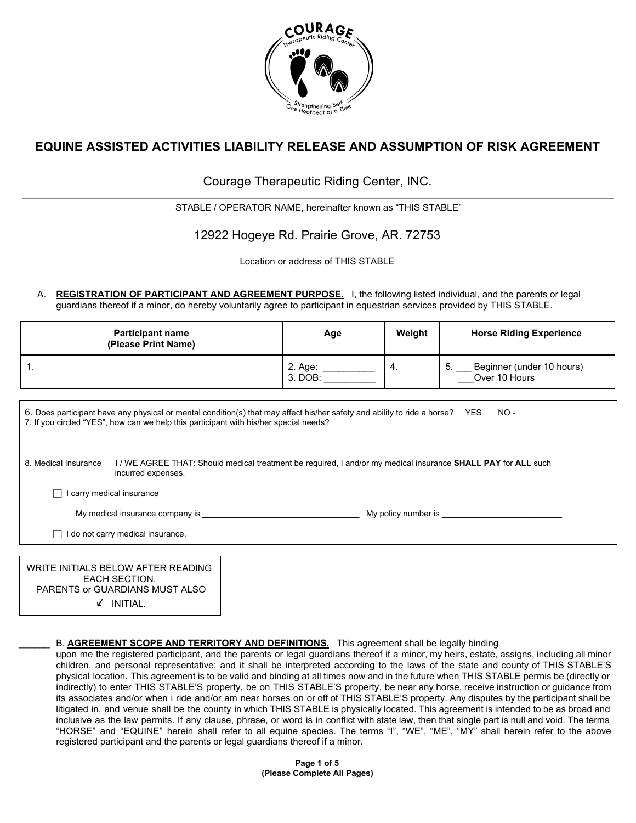

# **EQUINE ASSISTED ACTIVITIES LIABILITY RELEASE AND ASSUMPTION OF RISK AGREEMENT**

Courage Therapeutic Riding Center, INC.

STABLE / OPERATOR NAME, hereinafter known as "THIS STABLE"

12922 Hogeye Rd. Prairie Grove, AR. 72753

Location or address of THIS STABLE

A. **REGISTRATION OF PARTICIPANT AND AGREEMENT PURPOSE.** I, the following listed individual, and the parents or legal guardians thereof if a minor, do hereby voluntarily agree to participant in equestrian services provided by THIS STABLE.

| <b>Participant name</b><br>(Please Print Name)                                                                                                                                                                                  | Age                       | Weight | <b>Horse Riding Experience</b>                |  |
|---------------------------------------------------------------------------------------------------------------------------------------------------------------------------------------------------------------------------------|---------------------------|--------|-----------------------------------------------|--|
| 1.                                                                                                                                                                                                                              | 2. Age: $\_\_$<br>3. DOB: | 4.     | 5. Beginner (under 10 hours)<br>Over 10 Hours |  |
| 6. Does participant have any physical or mental condition(s) that may affect his/her safety and ability to ride a horse? YES<br>$NO -$<br>7. If you circled "YES", how can we help this participant with his/her special needs? |                           |        |                                               |  |
| 8. Medical Insurance<br>1/ WE AGREE THAT: Should medical treatment be required, I and/or my medical insurance <b>SHALL PAY</b> for <b>ALL</b> such<br>incurred expenses.                                                        |                           |        |                                               |  |
| carry medical insurance                                                                                                                                                                                                         |                           |        |                                               |  |
| My medical insurance company is<br>My policy number is the policy of the state of the state of the state of the My                                                                                                              |                           |        |                                               |  |
| do not carry medical insurance.                                                                                                                                                                                                 |                           |        |                                               |  |
|                                                                                                                                                                                                                                 |                           |        |                                               |  |

WRITE INITIALS BELOW AFTER READING EACH SECTION. PARENTS or GUARDIANS MUST ALSO  $\angle$  INITIAL.

### B. **AGREEMENT SCOPE AND TERRITORY AND DEFINITIONS.** This agreement shall be legally binding

upon me the registered participant, and the parents or legal guardians thereof if a minor, my heirs, estate, assigns, including all minor children, and personal representative; and it shall be interpreted according to the laws of the state and county of THIS STABLE'S physical location. This agreement is to be valid and binding at all times now and in the future when THIS STABLE permis be (directly or indirectly) to enter THIS STABLE'S property, be on THIS STABLE'S property, be near any horse, receive instruction or guidance from its associates and/or when i ride and/or am near horses on or off of THIS STABLE'S property. Any disputes by the participant shall be litigated in, and venue shall be the county in which THIS STABLE is physically located. This agreement is intended to be as broad and inclusive as the law permits. If any clause, phrase, or word is in conflict with state law, then that single part is null and void. The terms "HORSE" and "EQUINE" herein shall refer to all equine species. The terms "I", "WE", "ME", "MY" shall herein refer to the above registered participant and the parents or legal guardians thereof if a minor.

> **Page 1 of 5 (Please Complete All Pages)**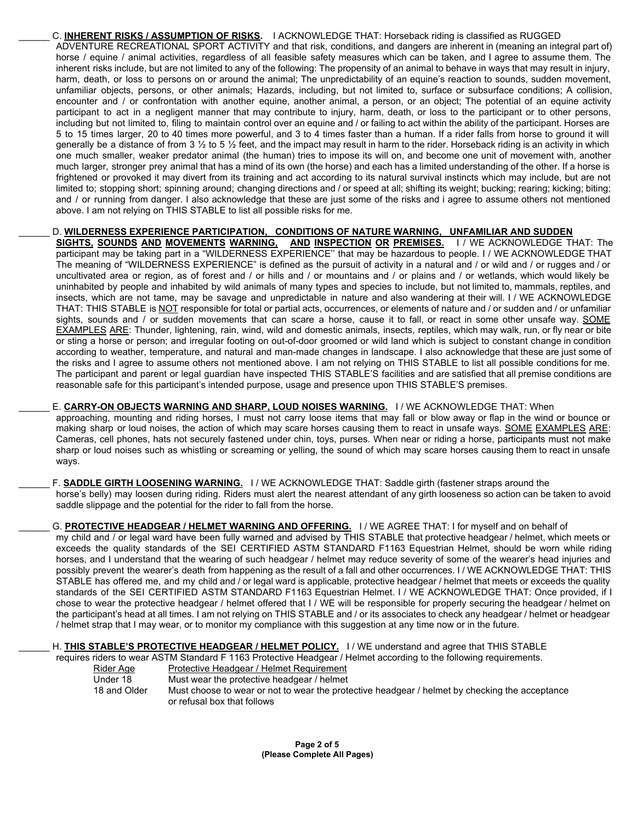\_\_\_\_\_\_ C. **INHERENT RISKS / ASSUMPTION OF RISKS.** I ACKNOWLEDGE THAT: Horseback riding is classified as RUGGED ADVENTURE RECREATIONAL SPORT ACTIVITY and that risk, conditions, and dangers are inherent in (meaning an integral part of) horse / equine / animal activities, regardless of all feasible safety measures which can be taken, and I agree to assume them. The inherent risks include, but are not limited to any of the following: The propensity of an animal to behave in ways that may result in injury, harm, death, or loss to persons on or around the animal; The unpredictability of an equine's reaction to sounds, sudden movement, unfamiliar objects, persons, or other animals; Hazards, including, but not limited to, surface or subsurface conditions; A collision, encounter and / or confrontation with another equine, another animal, a person, or an object; The potential of an equine activity participant to act in a negligent manner that may contribute to injury, harm, death, or loss to the participant or to other persons, including but not limited to, filing to maintain control over an equine and / or failing to act within the ability of the participant. Horses are 5 to 15 times larger, 20 to 40 times more powerful, and 3 to 4 times faster than a human. If a rider falls from horse to ground it will generally be a distance of from 3  $\frac{1}{2}$  to 5  $\frac{1}{2}$  feet, and the impact may result in harm to the rider. Horseback riding is an activity in which one much smaller, weaker predator animal (the human) tries to impose its will on, and become one unit of movement with, another much larger, stronger prey animal that has a mind of its own (the horse) and each has a limited understanding of the other. If a horse is frightened or provoked it may divert from its training and act according to its natural survival instincts which may include, but are not limited to; stopping short; spinning around; changing directions and / or speed at all; shifting its weight; bucking; rearing; kicking; biting; and / or running from danger. I also acknowledge that these are just some of the risks and i agree to assume others not mentioned above. I am not relying on THIS STABLE to list all possible risks for me.

## \_\_\_\_\_\_ D. **WILDERNESS EXPERIENCE PARTICIPATION, CONDITIONS OF NATURE WARNING, UNFAMILIAR AND SUDDEN**

**SIGHTS, SOUNDS AND MOVEMENTS WARNING, AND INSPECTION OR PREMISES.** I / WE ACKNOWLEDGE THAT: The participant may be taking part in a "WILDERNESS EXPERIENCE'' that may be hazardous to people. I / WE ACKNOWLEDGE THAT The meaning of "WILDERNESS EXPERIENCE" is defined as the pursuit of activity in a natural and / or wild and / or rugges and / or uncultivated area or region, as of forest and / or hills and / or mountains and / or plains and / or wetlands, which would likely be uninhabited by people and inhabited by wild animals of many types and species to include, but not limited to, mammals, reptiles, and insects, which are not tame, may be savage and unpredictable in nature and also wandering at their will. I / WE ACKNOWLEDGE THAT: THIS STABLE is NOT responsible for total or partial acts, occurrences, or elements of nature and / or sudden and / or unfamiliar sights, sounds and / or sudden movements that can scare a horse, cause it to fall, or react in some other unsafe way. SOME EXAMPLES ARE: Thunder, lightening, rain, wind, wild and domestic animals, insects, reptiles, which may walk, run, or fly near or bite or sting a horse or person; and irregular footing on out-of-door groomed or wild land which is subject to constant change in condition according to weather, temperature, and natural and man-made changes in landscape. I also acknowledge that these are just some of the risks and I agree to assume others not mentioned above. I am not relying on THIS STABLE to list all possible conditions for me. The participant and parent or legal guardian have inspected THIS STABLE'S facilities and are satisfied that all premise conditions are reasonable safe for this participant's intended purpose, usage and presence upon THIS STABLE'S premises.

# E. **CARRY-ON OBJECTS WARNING AND SHARP, LOUD NOISES WARNING.** I/ WE ACKNOWLEDGE THAT: When

approaching, mounting and riding horses, I must not carry loose items that may fall or blow away or flap in the wind or bounce or making sharp or loud noises, the action of which may scare horses causing them to react in unsafe ways. SOME EXAMPLES ARE: Cameras, cell phones, hats not securely fastened under chin, toys, purses. When near or riding a horse, participants must not make sharp or loud noises such as whistling or screaming or yelling, the sound of which may scare horses causing them to react in unsafe ways.

F. **SADDLE GIRTH LOOSENING WARNING.** I / WE ACKNOWLEDGE THAT: Saddle girth (fastener straps around the horse's belly) may loosen during riding. Riders must alert the nearest attendant of any girth looseness so action can be taken to avoid saddle slippage and the potential for the rider to fall from the horse.

G. PROTECTIVE HEADGEAR / HELMET WARNING AND OFFERING. I / WE AGREE THAT: I for myself and on behalf of my child and / or legal ward have been fully warned and advised by THIS STABLE that protective headgear / helmet, which meets or exceeds the quality standards of the SEI CERTIFIED ASTM STANDARD F1163 Equestrian Helmet, should be worn while riding horses, and I understand that the wearing of such headgear / helmet may reduce severity of some of the wearer's head injuries and possibly prevent the wearer's death from happening as the result of a fall and other occurrences. I / WE ACKNOWLEDGE THAT: THIS STABLE has offered me, and my child and / or legal ward is applicable, protective headgear / helmet that meets or exceeds the quality standards of the SEI CERTIFIED ASTM STANDARD F1163 Equestrian Helmet. I / WE ACKNOWLEDGE THAT: Once provided, if I chose to wear the protective headgear / helmet offered that I / WE will be responsible for properly securing the headgear / helmet on the participant's head at all times. I am not relying on THIS STABLE and / or its associates to check any headgear / helmet or headgear / helmet strap that I may wear, or to monitor my compliance with this suggestion at any time now or in the future.

# H. **THIS STABLE'S PROTECTIVE HEADGEAR / HELMET POLICY.** I / WE understand and agree that THIS STABLE

requires riders to wear ASTM Standard F 1163 Protective Headgear / Helmet according to the following requirements.

Rider Age Protective Headgear / Helmet Requirement Under 18 Must wear the protective headgear / helmet 18 and Older Must choose to wear or not to wear the protective headgear / helmet by checking the acceptance or refusal box that follows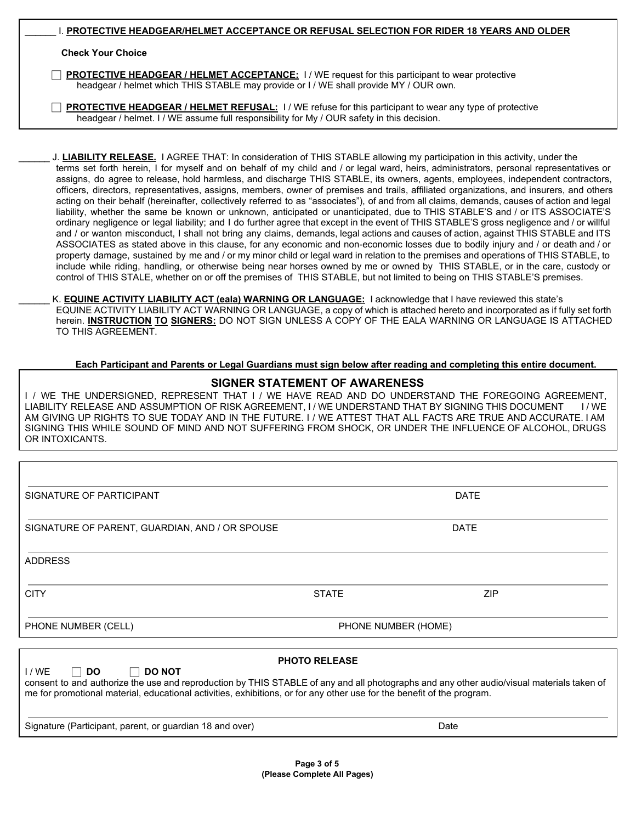|                                                                                                                                                                                                 | I. PROTECTIVE HEADGEAR/HELMET ACCEPTANCE OR REFUSAL SELECTION FOR RIDER 18 YEARS AND OLDER |  |
|-------------------------------------------------------------------------------------------------------------------------------------------------------------------------------------------------|--------------------------------------------------------------------------------------------|--|
| <b>Check Your Choice</b>                                                                                                                                                                        |                                                                                            |  |
| <b>PROTECTIVE HEADGEAR / HELMET ACCEPTANCE:</b> 1 / WE request for this participant to wear protective<br>headgear / helmet which THIS STABLE may provide or I / WE shall provide MY / OUR own. |                                                                                            |  |

 ⃞ **PROTECTIVE HEADGEAR / HELMET REFUSAL:** I / WE refuse for this participant to wear any type of protective headgear / helmet. I / WE assume full responsibility for My / OUR safety in this decision.

J. **LIABILITY RELEASE.** I AGREE THAT: In consideration of THIS STABLE allowing my participation in this activity, under the terms set forth herein, I for myself and on behalf of my child and / or legal ward, heirs, administrators, personal representatives or assigns, do agree to release, hold harmless, and discharge THIS STABLE, its owners, agents, employees, independent contractors, officers, directors, representatives, assigns, members, owner of premises and trails, affiliated organizations, and insurers, and others acting on their behalf (hereinafter, collectively referred to as "associates"), of and from all claims, demands, causes of action and legal liability, whether the same be known or unknown, anticipated or unanticipated, due to THIS STABLE'S and / or ITS ASSOCIATE'S ordinary negligence or legal liability; and I do further agree that except in the event of THIS STABLE'S gross negligence and / or willful and / or wanton misconduct, I shall not bring any claims, demands, legal actions and causes of action, against THIS STABLE and ITS ASSOCIATES as stated above in this clause, for any economic and non-economic losses due to bodily injury and / or death and / or property damage, sustained by me and / or my minor child or legal ward in relation to the premises and operations of THIS STABLE, to include while riding, handling, or otherwise being near horses owned by me or owned by THIS STABLE, or in the care, custody or control of THIS STALE, whether on or off the premises of THIS STABLE, but not limited to being on THIS STABLE'S premises.

\_\_\_\_\_\_ K. **EQUINE ACTIVITY LIABILITY ACT (eala) WARNING OR LANGUAGE:** I acknowledge that I have reviewed this state's EQUINE ACTIVITY LIABILITY ACT WARNING OR LANGUAGE, a copy of which is attached hereto and incorporated as if fully set forth herein. **INSTRUCTION TO SIGNERS:** DO NOT SIGN UNLESS A COPY OF THE EALA WARNING OR LANGUAGE IS ATTACHED TO THIS AGREEMENT.

### **Each Participant and Parents or Legal Guardians must sign below after reading and completing this entire document.**

### **SIGNER STATEMENT OF AWARENESS**

I / WE THE UNDERSIGNED, REPRESENT THAT I / WE HAVE READ AND DO UNDERSTAND THE FOREGOING AGREEMENT. LIABILITY RELEASE AND ASSUMPTION OF RISK AGREEMENT, I / WE UNDERSTAND THAT BY SIGNING THIS DOCUMENT I / WE AM GIVING UP RIGHTS TO SUE TODAY AND IN THE FUTURE. I / WE ATTEST THAT ALL FACTS ARE TRUE AND ACCURATE. I AM SIGNING THIS WHILE SOUND OF MIND AND NOT SUFFERING FROM SHOCK, OR UNDER THE INFLUENCE OF ALCOHOL, DRUGS OR INTOXICANTS.

SIGNATURE OF PARTICIPANT **External of the SIGNATURE OF PARTICIPANT** SIGNATURE OF PARENT, GUARDIAN, AND / OR SPOUSE DATE DATE ADDRESS CITY STATE ZIP PHONE NUMBER (CELL) PHONE NUMBER (HOME)

**PHOTO RELEASE** I / WE ⃞ **DO**  ⃞ **DO NOT** consent to and authorize the use and reproduction by THIS STABLE of any and all photographs and any other audio/visual materials taken of me for promotional material, educational activities, exhibitions, or for any other use for the benefit of the program. Signature (Participant, parent, or guardian 18 and over) Date Designature Controller and Date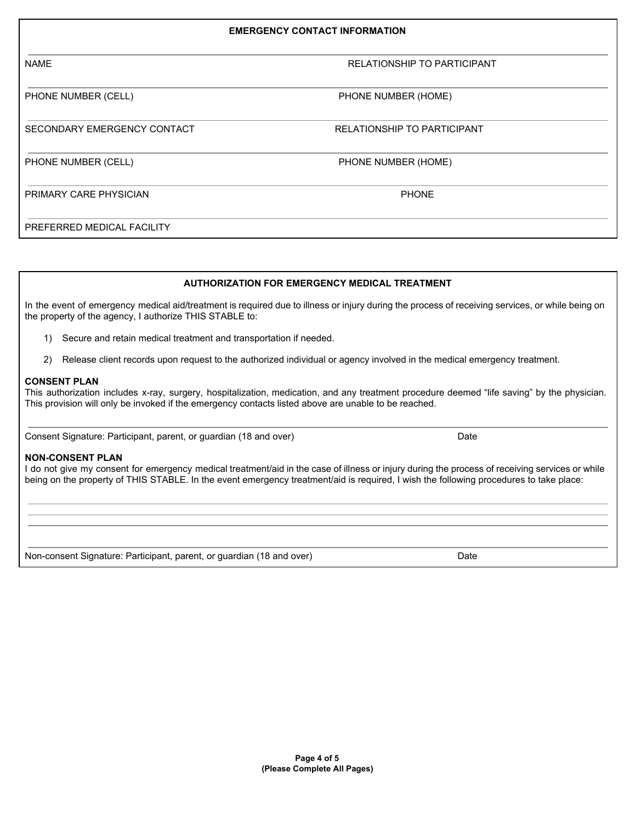| <b>EMERGENCY CONTACT INFORMATION</b> |                                    |  |
|--------------------------------------|------------------------------------|--|
| <b>NAME</b>                          | <b>RELATIONSHIP TO PARTICIPANT</b> |  |
| PHONE NUMBER (CELL)                  | PHONE NUMBER (HOME)                |  |
| SECONDARY EMERGENCY CONTACT          | <b>RELATIONSHIP TO PARTICIPANT</b> |  |
| PHONE NUMBER (CELL)                  | PHONE NUMBER (HOME)                |  |
| PRIMARY CARE PHYSICIAN               | <b>PHONE</b>                       |  |
| PREFERRED MEDICAL FACILITY           |                                    |  |

### **AUTHORIZATION FOR EMERGENCY MEDICAL TREATMENT**

In the event of emergency medical aid/treatment is required due to illness or injury during the process of receiving services, or while being on the property of the agency, I authorize THIS STABLE to:

- 1) Secure and retain medical treatment and transportation if needed.
- 2) Release client records upon request to the authorized individual or agency involved in the medical emergency treatment.

### **CONSENT PLAN**

This authorization includes x-ray, surgery, hospitalization, medication, and any treatment procedure deemed "life saving" by the physician. This provision will only be invoked if the emergency contacts listed above are unable to be reached.

Consent Signature: Participant, parent, or guardian (18 and over) Date

### **NON-CONSENT PLAN**

I do not give my consent for emergency medical treatment/aid in the case of illness or injury during the process of receiving services or while being on the property of THIS STABLE. In the event emergency treatment/aid is required, I wish the following procedures to take place:

Non-consent Signature: Participant, parent, or guardian (18 and over) Date Date